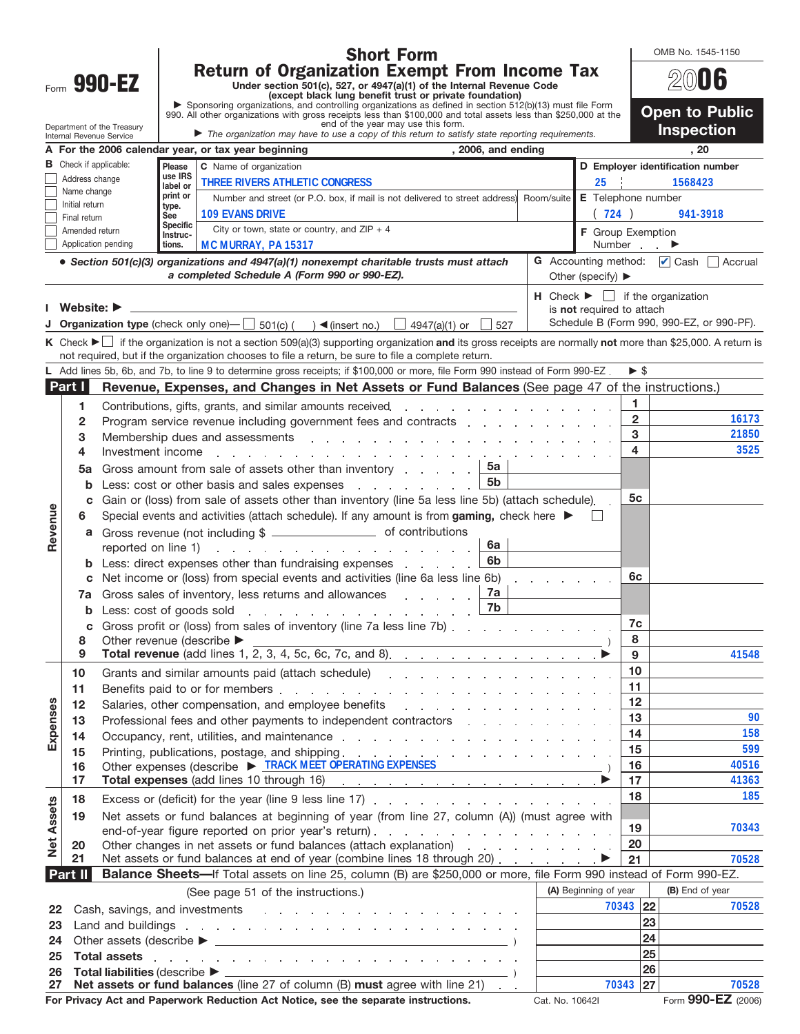|                                                                                                                                                                                                                                                                                                                    |                                |                                                                                                                                                                                                                                |                    | <b>Short Form</b>                                                                                                                                                                                                                                                                                                   |                                                                     |                                  | OMB No. 1545-1150                         |  |  |
|--------------------------------------------------------------------------------------------------------------------------------------------------------------------------------------------------------------------------------------------------------------------------------------------------------------------|--------------------------------|--------------------------------------------------------------------------------------------------------------------------------------------------------------------------------------------------------------------------------|--------------------|---------------------------------------------------------------------------------------------------------------------------------------------------------------------------------------------------------------------------------------------------------------------------------------------------------------------|---------------------------------------------------------------------|----------------------------------|-------------------------------------------|--|--|
| <b>Return of Organization Exempt From Income Tax</b><br>Form 990-EZ<br>Under section 501(c), 527, or 4947(a)(1) of the Internal Revenue Code<br>(except black lung benefit trust or private foundation)<br>Sponsoring organizations, and controlling organizations as defined in section 512(b)(13) must file Form |                                |                                                                                                                                                                                                                                |                    |                                                                                                                                                                                                                                                                                                                     |                                                                     | $200$ 06                         |                                           |  |  |
|                                                                                                                                                                                                                                                                                                                    |                                | 990. All other organizations with gross receipts less than \$100,000 and total assets less than \$250,000 at the                                                                                                               |                    | <b>Open to Public</b>                                                                                                                                                                                                                                                                                               |                                                                     |                                  |                                           |  |  |
|                                                                                                                                                                                                                                                                                                                    |                                | Department of the Treasury<br>Internal Revenue Service                                                                                                                                                                         |                    | end of the year may use this form.<br>The organization may have to use a copy of this return to satisfy state reporting requirements.                                                                                                                                                                               |                                                                     |                                  | <b>Inspection</b>                         |  |  |
|                                                                                                                                                                                                                                                                                                                    |                                |                                                                                                                                                                                                                                |                    | , 2006, and ending<br>A For the 2006 calendar year, or tax year beginning                                                                                                                                                                                                                                           |                                                                     |                                  | , 20                                      |  |  |
|                                                                                                                                                                                                                                                                                                                    |                                | <b>B</b> Check if applicable:                                                                                                                                                                                                  | Please<br>use IRS  | C Name of organization                                                                                                                                                                                                                                                                                              |                                                                     | D Employer identification number |                                           |  |  |
|                                                                                                                                                                                                                                                                                                                    | Address change<br>Name change  |                                                                                                                                                                                                                                | label or           | <b>THREE RIVERS ATHLETIC CONGRESS</b>                                                                                                                                                                                                                                                                               | 25                                                                  |                                  | 1568423                                   |  |  |
|                                                                                                                                                                                                                                                                                                                    | Initial return                 |                                                                                                                                                                                                                                | print or<br>type.  | Number and street (or P.O. box, if mail is not delivered to street address) Room/suite                                                                                                                                                                                                                              | E Telephone number                                                  |                                  |                                           |  |  |
|                                                                                                                                                                                                                                                                                                                    | Final return                   |                                                                                                                                                                                                                                | See<br>Specific    | <b>109 EVANS DRIVE</b>                                                                                                                                                                                                                                                                                              | (724)                                                               |                                  | 941-3918                                  |  |  |
|                                                                                                                                                                                                                                                                                                                    | Amended return                 | Application pending                                                                                                                                                                                                            | Instruc-<br>tions. | City or town, state or country, and $ZIP + 4$<br>MC MURRAY, PA 15317                                                                                                                                                                                                                                                | F Group Exemption                                                   | Number                           |                                           |  |  |
|                                                                                                                                                                                                                                                                                                                    |                                |                                                                                                                                                                                                                                |                    | • Section 501(c)(3) organizations and 4947(a)(1) nonexempt charitable trusts must attach                                                                                                                                                                                                                            |                                                                     |                                  | G Accounting method: Cash Accrual         |  |  |
|                                                                                                                                                                                                                                                                                                                    |                                |                                                                                                                                                                                                                                |                    | a completed Schedule A (Form 990 or 990-EZ).                                                                                                                                                                                                                                                                        | Other (specify) $\blacktriangleright$                               |                                  |                                           |  |  |
|                                                                                                                                                                                                                                                                                                                    | Website: $\blacktriangleright$ |                                                                                                                                                                                                                                |                    |                                                                                                                                                                                                                                                                                                                     | $\mathsf{H}$ Check $\blacktriangleright$ $\Box$ if the organization |                                  |                                           |  |  |
|                                                                                                                                                                                                                                                                                                                    |                                |                                                                                                                                                                                                                                |                    | <b>Organization type</b> (check only one)- $\Box$ 501(c) ( ) (insert no.) $\Box$ 4947(a)(1) or $\Box$ 527                                                                                                                                                                                                           | is not required to attach                                           |                                  | Schedule B (Form 990, 990-EZ, or 990-PF). |  |  |
|                                                                                                                                                                                                                                                                                                                    |                                |                                                                                                                                                                                                                                |                    | K Check ► if the organization is not a section 509(a)(3) supporting organization and its gross receipts are normally not more than \$25,000. A return is                                                                                                                                                            |                                                                     |                                  |                                           |  |  |
|                                                                                                                                                                                                                                                                                                                    |                                |                                                                                                                                                                                                                                |                    | not required, but if the organization chooses to file a return, be sure to file a complete return.                                                                                                                                                                                                                  |                                                                     |                                  |                                           |  |  |
|                                                                                                                                                                                                                                                                                                                    |                                |                                                                                                                                                                                                                                |                    | L Add lines 5b, 6b, and 7b, to line 9 to determine gross receipts; if \$100,000 or more, file Form 990 instead of Form 990-EZ.                                                                                                                                                                                      |                                                                     | $\triangleright$ \$              |                                           |  |  |
|                                                                                                                                                                                                                                                                                                                    | Part I                         |                                                                                                                                                                                                                                |                    | Revenue, Expenses, and Changes in Net Assets or Fund Balances (See page 47 of the instructions.)                                                                                                                                                                                                                    |                                                                     |                                  |                                           |  |  |
|                                                                                                                                                                                                                                                                                                                    | 1                              |                                                                                                                                                                                                                                |                    | Contributions, gifts, grants, and similar amounts received.                                                                                                                                                                                                                                                         |                                                                     | 1                                |                                           |  |  |
|                                                                                                                                                                                                                                                                                                                    | $\overline{2}$                 |                                                                                                                                                                                                                                |                    | Program service revenue including government fees and contracts enterstanded and contracts                                                                                                                                                                                                                          |                                                                     | $\overline{2}$                   | 16173                                     |  |  |
|                                                                                                                                                                                                                                                                                                                    | 3                              |                                                                                                                                                                                                                                |                    | Membership dues and assessments entering the contract of the contract of the method of the contract of the contract of the contract of the contract of the contract of the contract of the contract of the contract of the con                                                                                      |                                                                     | 3                                | 21850                                     |  |  |
|                                                                                                                                                                                                                                                                                                                    | 4                              |                                                                                                                                                                                                                                |                    | Investment income enterprise and a series of the series of the series of the series of the series of the series of the series of the series of the series of the series of the series of the series of the series of the serie                                                                                      |                                                                     | 4                                | 3525                                      |  |  |
|                                                                                                                                                                                                                                                                                                                    | 5a                             |                                                                                                                                                                                                                                |                    | 5а<br>Gross amount from sale of assets other than inventory $\ldots$<br>5 <sub>b</sub>                                                                                                                                                                                                                              |                                                                     |                                  |                                           |  |  |
|                                                                                                                                                                                                                                                                                                                    | b                              |                                                                                                                                                                                                                                |                    | Less: cost or other basis and sales expenses expensional contact and sales expenses<br>Gain or (loss) from sale of assets other than inventory (line 5a less line 5b) (attach schedule).                                                                                                                            |                                                                     | 5c                               |                                           |  |  |
|                                                                                                                                                                                                                                                                                                                    | c                              |                                                                                                                                                                                                                                |                    |                                                                                                                                                                                                                                                                                                                     |                                                                     |                                  |                                           |  |  |
| Revenue                                                                                                                                                                                                                                                                                                            | 6<br>a                         | Special events and activities (attach schedule). If any amount is from gaming, check here $\blacktriangleright$                                                                                                                |                    |                                                                                                                                                                                                                                                                                                                     |                                                                     |                                  |                                           |  |  |
|                                                                                                                                                                                                                                                                                                                    |                                |                                                                                                                                                                                                                                |                    | Gross revenue (not including \$ __________________________ of contributions<br>6a<br>reported on line 1) results and the state of the state of the state of the state of the state of the state of the state of the state of the state of the state of the state of the state of the state of the state of the stat |                                                                     |                                  |                                           |  |  |
|                                                                                                                                                                                                                                                                                                                    |                                | Less: direct expenses other than fundraising expenses                                                                                                                                                                          |                    |                                                                                                                                                                                                                                                                                                                     |                                                                     |                                  |                                           |  |  |
|                                                                                                                                                                                                                                                                                                                    | c                              | Net income or (loss) from special events and activities (line 6a less line 6b)                                                                                                                                                 | 6c                 |                                                                                                                                                                                                                                                                                                                     |                                                                     |                                  |                                           |  |  |
|                                                                                                                                                                                                                                                                                                                    | 7a                             | Gross sales of inventory, less returns and allowances                                                                                                                                                                          |                    |                                                                                                                                                                                                                                                                                                                     |                                                                     |                                  |                                           |  |  |
|                                                                                                                                                                                                                                                                                                                    |                                | <b>b</b> Less: cost of goods sold $\ldots$ $\ldots$ $\ldots$ $\ldots$ $\ldots$ $\ldots$                                                                                                                                        |                    |                                                                                                                                                                                                                                                                                                                     |                                                                     |                                  |                                           |  |  |
|                                                                                                                                                                                                                                                                                                                    | С                              | Gross profit or (loss) from sales of inventory (line 7a less line 7b)                                                                                                                                                          |                    | 7c<br>8                                                                                                                                                                                                                                                                                                             |                                                                     |                                  |                                           |  |  |
|                                                                                                                                                                                                                                                                                                                    | 8<br>9                         | Other revenue (describe ▶                                                                                                                                                                                                      |                    | 9                                                                                                                                                                                                                                                                                                                   | 41548                                                               |                                  |                                           |  |  |
|                                                                                                                                                                                                                                                                                                                    | 10                             |                                                                                                                                                                                                                                |                    |                                                                                                                                                                                                                                                                                                                     |                                                                     | 10                               |                                           |  |  |
|                                                                                                                                                                                                                                                                                                                    | 11                             |                                                                                                                                                                                                                                |                    | Benefits paid to or for members enters and a series and a series and a series of the series of the series of the series of the series of the series of the series of the series of the series of the series of the series of t                                                                                      |                                                                     | 11                               |                                           |  |  |
|                                                                                                                                                                                                                                                                                                                    | 12                             | Salaries, other compensation, and employee benefits entity and the state of the state of the state of the state of the state of the state of the state of the state of the state of the state of the state of the state of the |                    | 12                                                                                                                                                                                                                                                                                                                  |                                                                     |                                  |                                           |  |  |
|                                                                                                                                                                                                                                                                                                                    | 13                             |                                                                                                                                                                                                                                |                    | Professional fees and other payments to independent contractors entering the state of the state of the Professional fees and other payments to independent contractors                                                                                                                                              | 13                                                                  | 90                               |                                           |  |  |
| Expenses                                                                                                                                                                                                                                                                                                           | 14                             |                                                                                                                                                                                                                                |                    | Occupancy, rent, utilities, and maintenance response to the contract of the contract of the contract of the contract of the contract of the contract of the contract of the contract of the contract of the contract of the co                                                                                      |                                                                     | 14                               | 158                                       |  |  |
|                                                                                                                                                                                                                                                                                                                    | 15                             |                                                                                                                                                                                                                                |                    |                                                                                                                                                                                                                                                                                                                     |                                                                     | 15                               | 599                                       |  |  |
|                                                                                                                                                                                                                                                                                                                    | 16<br>17                       |                                                                                                                                                                                                                                |                    | Other expenses (describe > TRACK MEET OPERATING EXPENSES                                                                                                                                                                                                                                                            |                                                                     | 16<br>17                         | 40516<br>41363                            |  |  |
|                                                                                                                                                                                                                                                                                                                    |                                |                                                                                                                                                                                                                                |                    |                                                                                                                                                                                                                                                                                                                     |                                                                     | 18                               | 185                                       |  |  |
|                                                                                                                                                                                                                                                                                                                    | 18                             |                                                                                                                                                                                                                                |                    |                                                                                                                                                                                                                                                                                                                     |                                                                     |                                  |                                           |  |  |
| Assets                                                                                                                                                                                                                                                                                                             | 19                             |                                                                                                                                                                                                                                |                    | Net assets or fund balances at beginning of year (from line 27, column (A)) (must agree with<br>end-of-year figure reported on prior year's return).                                                                                                                                                                |                                                                     | 19                               | 70343                                     |  |  |
| Net                                                                                                                                                                                                                                                                                                                | 20                             |                                                                                                                                                                                                                                |                    | Other changes in net assets or fund balances (attach explanation) excess that can be a set of the change of the change of the change of the change of the change of the change of the change of the change of the change of th                                                                                      |                                                                     | 20                               |                                           |  |  |
|                                                                                                                                                                                                                                                                                                                    | 21                             | Net assets or fund balances at end of year (combine lines 18 through 20)                                                                                                                                                       | 21                 | 70528                                                                                                                                                                                                                                                                                                               |                                                                     |                                  |                                           |  |  |
|                                                                                                                                                                                                                                                                                                                    | <b>Part II</b>                 |                                                                                                                                                                                                                                |                    | Balance Sheets-If Total assets on line 25, column (B) are \$250,000 or more, file Form 990 instead of Form 990-EZ.                                                                                                                                                                                                  |                                                                     |                                  |                                           |  |  |
|                                                                                                                                                                                                                                                                                                                    |                                |                                                                                                                                                                                                                                |                    | (See page 51 of the instructions.)                                                                                                                                                                                                                                                                                  | (A) Beginning of year                                               |                                  | (B) End of year                           |  |  |
| 22                                                                                                                                                                                                                                                                                                                 |                                |                                                                                                                                                                                                                                |                    | Land and buildings research and contact the contact of the contact of the contact of the contact of the contact of the contact of the contact of the contact of the contact of the contact of the contact of the contact of th                                                                                      |                                                                     | 70343 22<br>23                   | 70528                                     |  |  |
| 23                                                                                                                                                                                                                                                                                                                 |                                |                                                                                                                                                                                                                                |                    | 24                                                                                                                                                                                                                                                                                                                  |                                                                     |                                  |                                           |  |  |
| 24<br>25                                                                                                                                                                                                                                                                                                           |                                | <b>Total assets</b>                                                                                                                                                                                                            |                    | 25                                                                                                                                                                                                                                                                                                                  |                                                                     |                                  |                                           |  |  |
| 26                                                                                                                                                                                                                                                                                                                 |                                | $\mathcal{L}_{\mathcal{L}}$                                                                                                                                                                                                    |                    | the contract of the contract of the contract of the contract of the contract of the contract of the                                                                                                                                                                                                                 |                                                                     | 26                               |                                           |  |  |
| 27                                                                                                                                                                                                                                                                                                                 | 70343<br>27                    | 70528                                                                                                                                                                                                                          |                    |                                                                                                                                                                                                                                                                                                                     |                                                                     |                                  |                                           |  |  |
|                                                                                                                                                                                                                                                                                                                    |                                |                                                                                                                                                                                                                                |                    | Net assets or fund balances (line 27 of column (B) must agree with line 21)<br>For Privacy Act and Paperwork Reduction Act Notice, see the separate instructions.                                                                                                                                                   | Cat. No. 10642I                                                     |                                  | Form 990-EZ (2006)                        |  |  |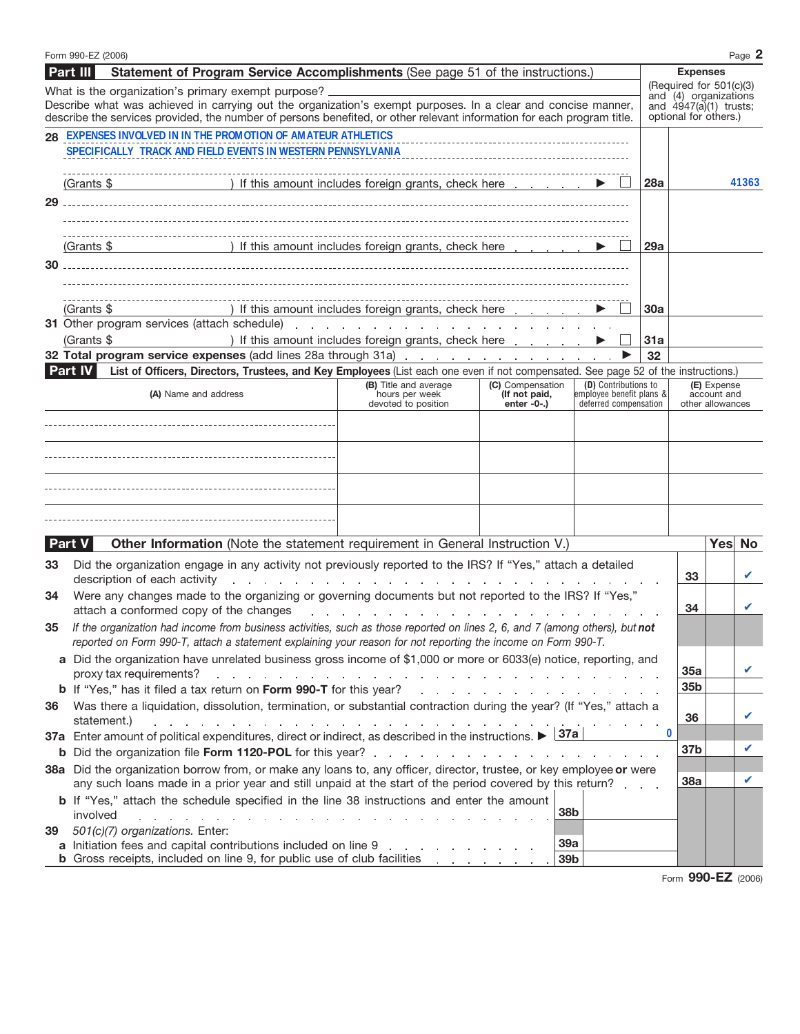| Statement of Program Service Accomplishments (See page 51 of the instructions.)<br>Part III<br><b>Expenses</b><br>(Required for 501(c)(3)<br>What is the organization's primary exempt purpose?<br>Describe what was achieved in carrying out the organization's exempt purposes. In a clear and concise manner,<br>optional for others.)<br>describe the services provided, the number of persons benefited, or other relevant information for each program title.<br>28 EXPENSES INVOLVED IN IN THE PROMOTION OF AMATEUR ATHLETICS<br>$(Grants $ \fbox{ ) }$   If this amount includes foreign grants, check here $\fbox{ ) }$<br>28a<br>29<br>(Grants \$ ) If this amount includes foreign grants, check here entitled by the set of the set of the set of the set of the set of the set of the set of the set of the set of the set of the set of the set of the set of the<br>29a<br>) If this amount includes foreign grants, check here<br>(Grants \$<br>30a<br>) If this amount includes foreign grants, check here<br>(Grants \$<br>31a<br>32<br>List of Officers, Directors, Trustees, and Key Employees (List each one even if not compensated. See page 52 of the instructions.)<br><b>Part IV</b><br>(D) Contributions to<br>(B) Title and average<br>(C) Compensation<br>(E) Expense<br>(A) Name and address<br>hours per week<br>employee benefit plans &<br>account and<br>(If not paid,<br>devoted to position<br>enter -0-.)<br>deferred compensation<br>other allowances<br>Yes No<br>Other Information (Note the statement requirement in General Instruction V.)<br>Part V<br>Did the organization engage in any activity not previously reported to the IRS? If "Yes," attach a detailed<br>33<br>33<br>description of each activity<br>and the companion of the companion of the companion of the companion of the companion of the companion of the companion of the companion of the companion of the companion of the companion of the companion of the companion<br>Were any changes made to the organizing or governing documents but not reported to the IRS? If "Yes,"<br>34<br>34<br>attach a conformed copy of the changes<br>والمتواطن والمتواطن والمتواطن والمتواطن والمتواطن والمتواطن والمتواطن والمتواطن والمتواطن<br>If the organization had income from business activities, such as those reported on lines 2, 6, and 7 (among others), but not<br>35<br>reported on Form 990-T, attach a statement explaining your reason for not reporting the income on Form 990-T.<br>a Did the organization have unrelated business gross income of \$1,000 or more or 6033(e) notice, reporting, and<br>35a<br>proxy tax requirements?<br>a constitution of the constitution of the constitution of the constitution of the constitution of the constitution of<br>35b<br>Was there a liquidation, dissolution, termination, or substantial contraction during the year? (If "Yes," attach a<br>36<br>36<br>statement.)<br>and the company of the company of the company of the company of the company of the company of the company of the company of the company of the company of the company of the company of the company of the company of the comp<br>0<br>37a Enter amount of political expenditures, direct or indirect, as described in the instructions. $\triangleright$ 37a<br>37b<br>38a Did the organization borrow from, or make any loans to, any officer, director, trustee, or key employee or were<br><b>38a</b><br>any such loans made in a prior year and still unpaid at the start of the period covered by this return?<br><b>b</b> If "Yes," attach the schedule specified in the line 38 instructions and enter the amount |  | Form 990-EZ (2006) |  |  |  |  |  |                                 |  |  | Page 2 |
|------------------------------------------------------------------------------------------------------------------------------------------------------------------------------------------------------------------------------------------------------------------------------------------------------------------------------------------------------------------------------------------------------------------------------------------------------------------------------------------------------------------------------------------------------------------------------------------------------------------------------------------------------------------------------------------------------------------------------------------------------------------------------------------------------------------------------------------------------------------------------------------------------------------------------------------------------------------------------------------------------------------------------------------------------------------------------------------------------------------------------------------------------------------------------------------------------------------------------------------------------------------------------------------------------------------------------------------------------------------------------------------------------------------------------------------------------------------------------------------------------------------------------------------------------------------------------------------------------------------------------------------------------------------------------------------------------------------------------------------------------------------------------------------------------------------------------------------------------------------------------------------------------------------------------------------------------------------------------------------------------------------------------------------------------------------------------------------------------------------------------------------------------------------------------------------------------------------------------------------------------------------------------------------------------------------------------------------------------------------------------------------------------------------------------------------------------------------------------------------------------------------------------------------------------------------------------------------------------------------------------------------------------------------------------------------------------------------------------------------------------------------------------------------------------------------------------------------------------------------------------------------------------------------------------------------------------------------------------------------------------------------------------------------------------------------------------------------------------------------------------------------------------------------------------------------------------------------------------------------------------------------------------------------------------------------------------------------------------------------------------------------------------------------------------------------------------------------------------------------------------------------------------------------------------------------------------------------------------------------------------------------------------------------------------------|--|--------------------|--|--|--|--|--|---------------------------------|--|--|--------|
|                                                                                                                                                                                                                                                                                                                                                                                                                                                                                                                                                                                                                                                                                                                                                                                                                                                                                                                                                                                                                                                                                                                                                                                                                                                                                                                                                                                                                                                                                                                                                                                                                                                                                                                                                                                                                                                                                                                                                                                                                                                                                                                                                                                                                                                                                                                                                                                                                                                                                                                                                                                                                                                                                                                                                                                                                                                                                                                                                                                                                                                                                                                                                                                                                                                                                                                                                                                                                                                                                                                                                                                                                                                                                    |  |                    |  |  |  |  |  |                                 |  |  |        |
|                                                                                                                                                                                                                                                                                                                                                                                                                                                                                                                                                                                                                                                                                                                                                                                                                                                                                                                                                                                                                                                                                                                                                                                                                                                                                                                                                                                                                                                                                                                                                                                                                                                                                                                                                                                                                                                                                                                                                                                                                                                                                                                                                                                                                                                                                                                                                                                                                                                                                                                                                                                                                                                                                                                                                                                                                                                                                                                                                                                                                                                                                                                                                                                                                                                                                                                                                                                                                                                                                                                                                                                                                                                                                    |  |                    |  |  |  |  |  | and (4) organizations           |  |  |        |
|                                                                                                                                                                                                                                                                                                                                                                                                                                                                                                                                                                                                                                                                                                                                                                                                                                                                                                                                                                                                                                                                                                                                                                                                                                                                                                                                                                                                                                                                                                                                                                                                                                                                                                                                                                                                                                                                                                                                                                                                                                                                                                                                                                                                                                                                                                                                                                                                                                                                                                                                                                                                                                                                                                                                                                                                                                                                                                                                                                                                                                                                                                                                                                                                                                                                                                                                                                                                                                                                                                                                                                                                                                                                                    |  |                    |  |  |  |  |  | and $\hat{4947}$ (a)(1) trusts; |  |  |        |
|                                                                                                                                                                                                                                                                                                                                                                                                                                                                                                                                                                                                                                                                                                                                                                                                                                                                                                                                                                                                                                                                                                                                                                                                                                                                                                                                                                                                                                                                                                                                                                                                                                                                                                                                                                                                                                                                                                                                                                                                                                                                                                                                                                                                                                                                                                                                                                                                                                                                                                                                                                                                                                                                                                                                                                                                                                                                                                                                                                                                                                                                                                                                                                                                                                                                                                                                                                                                                                                                                                                                                                                                                                                                                    |  |                    |  |  |  |  |  |                                 |  |  |        |
|                                                                                                                                                                                                                                                                                                                                                                                                                                                                                                                                                                                                                                                                                                                                                                                                                                                                                                                                                                                                                                                                                                                                                                                                                                                                                                                                                                                                                                                                                                                                                                                                                                                                                                                                                                                                                                                                                                                                                                                                                                                                                                                                                                                                                                                                                                                                                                                                                                                                                                                                                                                                                                                                                                                                                                                                                                                                                                                                                                                                                                                                                                                                                                                                                                                                                                                                                                                                                                                                                                                                                                                                                                                                                    |  |                    |  |  |  |  |  |                                 |  |  |        |
|                                                                                                                                                                                                                                                                                                                                                                                                                                                                                                                                                                                                                                                                                                                                                                                                                                                                                                                                                                                                                                                                                                                                                                                                                                                                                                                                                                                                                                                                                                                                                                                                                                                                                                                                                                                                                                                                                                                                                                                                                                                                                                                                                                                                                                                                                                                                                                                                                                                                                                                                                                                                                                                                                                                                                                                                                                                                                                                                                                                                                                                                                                                                                                                                                                                                                                                                                                                                                                                                                                                                                                                                                                                                                    |  |                    |  |  |  |  |  |                                 |  |  |        |
|                                                                                                                                                                                                                                                                                                                                                                                                                                                                                                                                                                                                                                                                                                                                                                                                                                                                                                                                                                                                                                                                                                                                                                                                                                                                                                                                                                                                                                                                                                                                                                                                                                                                                                                                                                                                                                                                                                                                                                                                                                                                                                                                                                                                                                                                                                                                                                                                                                                                                                                                                                                                                                                                                                                                                                                                                                                                                                                                                                                                                                                                                                                                                                                                                                                                                                                                                                                                                                                                                                                                                                                                                                                                                    |  |                    |  |  |  |  |  |                                 |  |  | 41363  |
|                                                                                                                                                                                                                                                                                                                                                                                                                                                                                                                                                                                                                                                                                                                                                                                                                                                                                                                                                                                                                                                                                                                                                                                                                                                                                                                                                                                                                                                                                                                                                                                                                                                                                                                                                                                                                                                                                                                                                                                                                                                                                                                                                                                                                                                                                                                                                                                                                                                                                                                                                                                                                                                                                                                                                                                                                                                                                                                                                                                                                                                                                                                                                                                                                                                                                                                                                                                                                                                                                                                                                                                                                                                                                    |  |                    |  |  |  |  |  |                                 |  |  |        |
|                                                                                                                                                                                                                                                                                                                                                                                                                                                                                                                                                                                                                                                                                                                                                                                                                                                                                                                                                                                                                                                                                                                                                                                                                                                                                                                                                                                                                                                                                                                                                                                                                                                                                                                                                                                                                                                                                                                                                                                                                                                                                                                                                                                                                                                                                                                                                                                                                                                                                                                                                                                                                                                                                                                                                                                                                                                                                                                                                                                                                                                                                                                                                                                                                                                                                                                                                                                                                                                                                                                                                                                                                                                                                    |  |                    |  |  |  |  |  |                                 |  |  |        |
|                                                                                                                                                                                                                                                                                                                                                                                                                                                                                                                                                                                                                                                                                                                                                                                                                                                                                                                                                                                                                                                                                                                                                                                                                                                                                                                                                                                                                                                                                                                                                                                                                                                                                                                                                                                                                                                                                                                                                                                                                                                                                                                                                                                                                                                                                                                                                                                                                                                                                                                                                                                                                                                                                                                                                                                                                                                                                                                                                                                                                                                                                                                                                                                                                                                                                                                                                                                                                                                                                                                                                                                                                                                                                    |  |                    |  |  |  |  |  |                                 |  |  |        |
|                                                                                                                                                                                                                                                                                                                                                                                                                                                                                                                                                                                                                                                                                                                                                                                                                                                                                                                                                                                                                                                                                                                                                                                                                                                                                                                                                                                                                                                                                                                                                                                                                                                                                                                                                                                                                                                                                                                                                                                                                                                                                                                                                                                                                                                                                                                                                                                                                                                                                                                                                                                                                                                                                                                                                                                                                                                                                                                                                                                                                                                                                                                                                                                                                                                                                                                                                                                                                                                                                                                                                                                                                                                                                    |  |                    |  |  |  |  |  |                                 |  |  |        |
|                                                                                                                                                                                                                                                                                                                                                                                                                                                                                                                                                                                                                                                                                                                                                                                                                                                                                                                                                                                                                                                                                                                                                                                                                                                                                                                                                                                                                                                                                                                                                                                                                                                                                                                                                                                                                                                                                                                                                                                                                                                                                                                                                                                                                                                                                                                                                                                                                                                                                                                                                                                                                                                                                                                                                                                                                                                                                                                                                                                                                                                                                                                                                                                                                                                                                                                                                                                                                                                                                                                                                                                                                                                                                    |  |                    |  |  |  |  |  |                                 |  |  |        |
|                                                                                                                                                                                                                                                                                                                                                                                                                                                                                                                                                                                                                                                                                                                                                                                                                                                                                                                                                                                                                                                                                                                                                                                                                                                                                                                                                                                                                                                                                                                                                                                                                                                                                                                                                                                                                                                                                                                                                                                                                                                                                                                                                                                                                                                                                                                                                                                                                                                                                                                                                                                                                                                                                                                                                                                                                                                                                                                                                                                                                                                                                                                                                                                                                                                                                                                                                                                                                                                                                                                                                                                                                                                                                    |  |                    |  |  |  |  |  |                                 |  |  |        |
|                                                                                                                                                                                                                                                                                                                                                                                                                                                                                                                                                                                                                                                                                                                                                                                                                                                                                                                                                                                                                                                                                                                                                                                                                                                                                                                                                                                                                                                                                                                                                                                                                                                                                                                                                                                                                                                                                                                                                                                                                                                                                                                                                                                                                                                                                                                                                                                                                                                                                                                                                                                                                                                                                                                                                                                                                                                                                                                                                                                                                                                                                                                                                                                                                                                                                                                                                                                                                                                                                                                                                                                                                                                                                    |  |                    |  |  |  |  |  |                                 |  |  |        |
|                                                                                                                                                                                                                                                                                                                                                                                                                                                                                                                                                                                                                                                                                                                                                                                                                                                                                                                                                                                                                                                                                                                                                                                                                                                                                                                                                                                                                                                                                                                                                                                                                                                                                                                                                                                                                                                                                                                                                                                                                                                                                                                                                                                                                                                                                                                                                                                                                                                                                                                                                                                                                                                                                                                                                                                                                                                                                                                                                                                                                                                                                                                                                                                                                                                                                                                                                                                                                                                                                                                                                                                                                                                                                    |  |                    |  |  |  |  |  |                                 |  |  |        |
|                                                                                                                                                                                                                                                                                                                                                                                                                                                                                                                                                                                                                                                                                                                                                                                                                                                                                                                                                                                                                                                                                                                                                                                                                                                                                                                                                                                                                                                                                                                                                                                                                                                                                                                                                                                                                                                                                                                                                                                                                                                                                                                                                                                                                                                                                                                                                                                                                                                                                                                                                                                                                                                                                                                                                                                                                                                                                                                                                                                                                                                                                                                                                                                                                                                                                                                                                                                                                                                                                                                                                                                                                                                                                    |  |                    |  |  |  |  |  |                                 |  |  |        |
|                                                                                                                                                                                                                                                                                                                                                                                                                                                                                                                                                                                                                                                                                                                                                                                                                                                                                                                                                                                                                                                                                                                                                                                                                                                                                                                                                                                                                                                                                                                                                                                                                                                                                                                                                                                                                                                                                                                                                                                                                                                                                                                                                                                                                                                                                                                                                                                                                                                                                                                                                                                                                                                                                                                                                                                                                                                                                                                                                                                                                                                                                                                                                                                                                                                                                                                                                                                                                                                                                                                                                                                                                                                                                    |  |                    |  |  |  |  |  |                                 |  |  |        |
|                                                                                                                                                                                                                                                                                                                                                                                                                                                                                                                                                                                                                                                                                                                                                                                                                                                                                                                                                                                                                                                                                                                                                                                                                                                                                                                                                                                                                                                                                                                                                                                                                                                                                                                                                                                                                                                                                                                                                                                                                                                                                                                                                                                                                                                                                                                                                                                                                                                                                                                                                                                                                                                                                                                                                                                                                                                                                                                                                                                                                                                                                                                                                                                                                                                                                                                                                                                                                                                                                                                                                                                                                                                                                    |  |                    |  |  |  |  |  |                                 |  |  |        |
|                                                                                                                                                                                                                                                                                                                                                                                                                                                                                                                                                                                                                                                                                                                                                                                                                                                                                                                                                                                                                                                                                                                                                                                                                                                                                                                                                                                                                                                                                                                                                                                                                                                                                                                                                                                                                                                                                                                                                                                                                                                                                                                                                                                                                                                                                                                                                                                                                                                                                                                                                                                                                                                                                                                                                                                                                                                                                                                                                                                                                                                                                                                                                                                                                                                                                                                                                                                                                                                                                                                                                                                                                                                                                    |  |                    |  |  |  |  |  |                                 |  |  |        |
|                                                                                                                                                                                                                                                                                                                                                                                                                                                                                                                                                                                                                                                                                                                                                                                                                                                                                                                                                                                                                                                                                                                                                                                                                                                                                                                                                                                                                                                                                                                                                                                                                                                                                                                                                                                                                                                                                                                                                                                                                                                                                                                                                                                                                                                                                                                                                                                                                                                                                                                                                                                                                                                                                                                                                                                                                                                                                                                                                                                                                                                                                                                                                                                                                                                                                                                                                                                                                                                                                                                                                                                                                                                                                    |  |                    |  |  |  |  |  |                                 |  |  |        |
|                                                                                                                                                                                                                                                                                                                                                                                                                                                                                                                                                                                                                                                                                                                                                                                                                                                                                                                                                                                                                                                                                                                                                                                                                                                                                                                                                                                                                                                                                                                                                                                                                                                                                                                                                                                                                                                                                                                                                                                                                                                                                                                                                                                                                                                                                                                                                                                                                                                                                                                                                                                                                                                                                                                                                                                                                                                                                                                                                                                                                                                                                                                                                                                                                                                                                                                                                                                                                                                                                                                                                                                                                                                                                    |  |                    |  |  |  |  |  |                                 |  |  |        |
|                                                                                                                                                                                                                                                                                                                                                                                                                                                                                                                                                                                                                                                                                                                                                                                                                                                                                                                                                                                                                                                                                                                                                                                                                                                                                                                                                                                                                                                                                                                                                                                                                                                                                                                                                                                                                                                                                                                                                                                                                                                                                                                                                                                                                                                                                                                                                                                                                                                                                                                                                                                                                                                                                                                                                                                                                                                                                                                                                                                                                                                                                                                                                                                                                                                                                                                                                                                                                                                                                                                                                                                                                                                                                    |  |                    |  |  |  |  |  |                                 |  |  |        |
|                                                                                                                                                                                                                                                                                                                                                                                                                                                                                                                                                                                                                                                                                                                                                                                                                                                                                                                                                                                                                                                                                                                                                                                                                                                                                                                                                                                                                                                                                                                                                                                                                                                                                                                                                                                                                                                                                                                                                                                                                                                                                                                                                                                                                                                                                                                                                                                                                                                                                                                                                                                                                                                                                                                                                                                                                                                                                                                                                                                                                                                                                                                                                                                                                                                                                                                                                                                                                                                                                                                                                                                                                                                                                    |  |                    |  |  |  |  |  |                                 |  |  |        |
|                                                                                                                                                                                                                                                                                                                                                                                                                                                                                                                                                                                                                                                                                                                                                                                                                                                                                                                                                                                                                                                                                                                                                                                                                                                                                                                                                                                                                                                                                                                                                                                                                                                                                                                                                                                                                                                                                                                                                                                                                                                                                                                                                                                                                                                                                                                                                                                                                                                                                                                                                                                                                                                                                                                                                                                                                                                                                                                                                                                                                                                                                                                                                                                                                                                                                                                                                                                                                                                                                                                                                                                                                                                                                    |  |                    |  |  |  |  |  |                                 |  |  |        |
|                                                                                                                                                                                                                                                                                                                                                                                                                                                                                                                                                                                                                                                                                                                                                                                                                                                                                                                                                                                                                                                                                                                                                                                                                                                                                                                                                                                                                                                                                                                                                                                                                                                                                                                                                                                                                                                                                                                                                                                                                                                                                                                                                                                                                                                                                                                                                                                                                                                                                                                                                                                                                                                                                                                                                                                                                                                                                                                                                                                                                                                                                                                                                                                                                                                                                                                                                                                                                                                                                                                                                                                                                                                                                    |  |                    |  |  |  |  |  |                                 |  |  |        |
|                                                                                                                                                                                                                                                                                                                                                                                                                                                                                                                                                                                                                                                                                                                                                                                                                                                                                                                                                                                                                                                                                                                                                                                                                                                                                                                                                                                                                                                                                                                                                                                                                                                                                                                                                                                                                                                                                                                                                                                                                                                                                                                                                                                                                                                                                                                                                                                                                                                                                                                                                                                                                                                                                                                                                                                                                                                                                                                                                                                                                                                                                                                                                                                                                                                                                                                                                                                                                                                                                                                                                                                                                                                                                    |  |                    |  |  |  |  |  |                                 |  |  |        |
|                                                                                                                                                                                                                                                                                                                                                                                                                                                                                                                                                                                                                                                                                                                                                                                                                                                                                                                                                                                                                                                                                                                                                                                                                                                                                                                                                                                                                                                                                                                                                                                                                                                                                                                                                                                                                                                                                                                                                                                                                                                                                                                                                                                                                                                                                                                                                                                                                                                                                                                                                                                                                                                                                                                                                                                                                                                                                                                                                                                                                                                                                                                                                                                                                                                                                                                                                                                                                                                                                                                                                                                                                                                                                    |  |                    |  |  |  |  |  |                                 |  |  |        |
|                                                                                                                                                                                                                                                                                                                                                                                                                                                                                                                                                                                                                                                                                                                                                                                                                                                                                                                                                                                                                                                                                                                                                                                                                                                                                                                                                                                                                                                                                                                                                                                                                                                                                                                                                                                                                                                                                                                                                                                                                                                                                                                                                                                                                                                                                                                                                                                                                                                                                                                                                                                                                                                                                                                                                                                                                                                                                                                                                                                                                                                                                                                                                                                                                                                                                                                                                                                                                                                                                                                                                                                                                                                                                    |  |                    |  |  |  |  |  |                                 |  |  |        |
|                                                                                                                                                                                                                                                                                                                                                                                                                                                                                                                                                                                                                                                                                                                                                                                                                                                                                                                                                                                                                                                                                                                                                                                                                                                                                                                                                                                                                                                                                                                                                                                                                                                                                                                                                                                                                                                                                                                                                                                                                                                                                                                                                                                                                                                                                                                                                                                                                                                                                                                                                                                                                                                                                                                                                                                                                                                                                                                                                                                                                                                                                                                                                                                                                                                                                                                                                                                                                                                                                                                                                                                                                                                                                    |  |                    |  |  |  |  |  |                                 |  |  |        |
|                                                                                                                                                                                                                                                                                                                                                                                                                                                                                                                                                                                                                                                                                                                                                                                                                                                                                                                                                                                                                                                                                                                                                                                                                                                                                                                                                                                                                                                                                                                                                                                                                                                                                                                                                                                                                                                                                                                                                                                                                                                                                                                                                                                                                                                                                                                                                                                                                                                                                                                                                                                                                                                                                                                                                                                                                                                                                                                                                                                                                                                                                                                                                                                                                                                                                                                                                                                                                                                                                                                                                                                                                                                                                    |  |                    |  |  |  |  |  |                                 |  |  |        |
|                                                                                                                                                                                                                                                                                                                                                                                                                                                                                                                                                                                                                                                                                                                                                                                                                                                                                                                                                                                                                                                                                                                                                                                                                                                                                                                                                                                                                                                                                                                                                                                                                                                                                                                                                                                                                                                                                                                                                                                                                                                                                                                                                                                                                                                                                                                                                                                                                                                                                                                                                                                                                                                                                                                                                                                                                                                                                                                                                                                                                                                                                                                                                                                                                                                                                                                                                                                                                                                                                                                                                                                                                                                                                    |  |                    |  |  |  |  |  |                                 |  |  |        |
|                                                                                                                                                                                                                                                                                                                                                                                                                                                                                                                                                                                                                                                                                                                                                                                                                                                                                                                                                                                                                                                                                                                                                                                                                                                                                                                                                                                                                                                                                                                                                                                                                                                                                                                                                                                                                                                                                                                                                                                                                                                                                                                                                                                                                                                                                                                                                                                                                                                                                                                                                                                                                                                                                                                                                                                                                                                                                                                                                                                                                                                                                                                                                                                                                                                                                                                                                                                                                                                                                                                                                                                                                                                                                    |  |                    |  |  |  |  |  |                                 |  |  |        |
|                                                                                                                                                                                                                                                                                                                                                                                                                                                                                                                                                                                                                                                                                                                                                                                                                                                                                                                                                                                                                                                                                                                                                                                                                                                                                                                                                                                                                                                                                                                                                                                                                                                                                                                                                                                                                                                                                                                                                                                                                                                                                                                                                                                                                                                                                                                                                                                                                                                                                                                                                                                                                                                                                                                                                                                                                                                                                                                                                                                                                                                                                                                                                                                                                                                                                                                                                                                                                                                                                                                                                                                                                                                                                    |  |                    |  |  |  |  |  |                                 |  |  |        |
|                                                                                                                                                                                                                                                                                                                                                                                                                                                                                                                                                                                                                                                                                                                                                                                                                                                                                                                                                                                                                                                                                                                                                                                                                                                                                                                                                                                                                                                                                                                                                                                                                                                                                                                                                                                                                                                                                                                                                                                                                                                                                                                                                                                                                                                                                                                                                                                                                                                                                                                                                                                                                                                                                                                                                                                                                                                                                                                                                                                                                                                                                                                                                                                                                                                                                                                                                                                                                                                                                                                                                                                                                                                                                    |  |                    |  |  |  |  |  |                                 |  |  |        |
|                                                                                                                                                                                                                                                                                                                                                                                                                                                                                                                                                                                                                                                                                                                                                                                                                                                                                                                                                                                                                                                                                                                                                                                                                                                                                                                                                                                                                                                                                                                                                                                                                                                                                                                                                                                                                                                                                                                                                                                                                                                                                                                                                                                                                                                                                                                                                                                                                                                                                                                                                                                                                                                                                                                                                                                                                                                                                                                                                                                                                                                                                                                                                                                                                                                                                                                                                                                                                                                                                                                                                                                                                                                                                    |  |                    |  |  |  |  |  |                                 |  |  |        |
|                                                                                                                                                                                                                                                                                                                                                                                                                                                                                                                                                                                                                                                                                                                                                                                                                                                                                                                                                                                                                                                                                                                                                                                                                                                                                                                                                                                                                                                                                                                                                                                                                                                                                                                                                                                                                                                                                                                                                                                                                                                                                                                                                                                                                                                                                                                                                                                                                                                                                                                                                                                                                                                                                                                                                                                                                                                                                                                                                                                                                                                                                                                                                                                                                                                                                                                                                                                                                                                                                                                                                                                                                                                                                    |  |                    |  |  |  |  |  |                                 |  |  |        |
|                                                                                                                                                                                                                                                                                                                                                                                                                                                                                                                                                                                                                                                                                                                                                                                                                                                                                                                                                                                                                                                                                                                                                                                                                                                                                                                                                                                                                                                                                                                                                                                                                                                                                                                                                                                                                                                                                                                                                                                                                                                                                                                                                                                                                                                                                                                                                                                                                                                                                                                                                                                                                                                                                                                                                                                                                                                                                                                                                                                                                                                                                                                                                                                                                                                                                                                                                                                                                                                                                                                                                                                                                                                                                    |  |                    |  |  |  |  |  |                                 |  |  |        |
|                                                                                                                                                                                                                                                                                                                                                                                                                                                                                                                                                                                                                                                                                                                                                                                                                                                                                                                                                                                                                                                                                                                                                                                                                                                                                                                                                                                                                                                                                                                                                                                                                                                                                                                                                                                                                                                                                                                                                                                                                                                                                                                                                                                                                                                                                                                                                                                                                                                                                                                                                                                                                                                                                                                                                                                                                                                                                                                                                                                                                                                                                                                                                                                                                                                                                                                                                                                                                                                                                                                                                                                                                                                                                    |  |                    |  |  |  |  |  |                                 |  |  |        |
|                                                                                                                                                                                                                                                                                                                                                                                                                                                                                                                                                                                                                                                                                                                                                                                                                                                                                                                                                                                                                                                                                                                                                                                                                                                                                                                                                                                                                                                                                                                                                                                                                                                                                                                                                                                                                                                                                                                                                                                                                                                                                                                                                                                                                                                                                                                                                                                                                                                                                                                                                                                                                                                                                                                                                                                                                                                                                                                                                                                                                                                                                                                                                                                                                                                                                                                                                                                                                                                                                                                                                                                                                                                                                    |  |                    |  |  |  |  |  |                                 |  |  |        |
|                                                                                                                                                                                                                                                                                                                                                                                                                                                                                                                                                                                                                                                                                                                                                                                                                                                                                                                                                                                                                                                                                                                                                                                                                                                                                                                                                                                                                                                                                                                                                                                                                                                                                                                                                                                                                                                                                                                                                                                                                                                                                                                                                                                                                                                                                                                                                                                                                                                                                                                                                                                                                                                                                                                                                                                                                                                                                                                                                                                                                                                                                                                                                                                                                                                                                                                                                                                                                                                                                                                                                                                                                                                                                    |  |                    |  |  |  |  |  |                                 |  |  |        |
|                                                                                                                                                                                                                                                                                                                                                                                                                                                                                                                                                                                                                                                                                                                                                                                                                                                                                                                                                                                                                                                                                                                                                                                                                                                                                                                                                                                                                                                                                                                                                                                                                                                                                                                                                                                                                                                                                                                                                                                                                                                                                                                                                                                                                                                                                                                                                                                                                                                                                                                                                                                                                                                                                                                                                                                                                                                                                                                                                                                                                                                                                                                                                                                                                                                                                                                                                                                                                                                                                                                                                                                                                                                                                    |  |                    |  |  |  |  |  |                                 |  |  |        |
|                                                                                                                                                                                                                                                                                                                                                                                                                                                                                                                                                                                                                                                                                                                                                                                                                                                                                                                                                                                                                                                                                                                                                                                                                                                                                                                                                                                                                                                                                                                                                                                                                                                                                                                                                                                                                                                                                                                                                                                                                                                                                                                                                                                                                                                                                                                                                                                                                                                                                                                                                                                                                                                                                                                                                                                                                                                                                                                                                                                                                                                                                                                                                                                                                                                                                                                                                                                                                                                                                                                                                                                                                                                                                    |  |                    |  |  |  |  |  |                                 |  |  |        |
|                                                                                                                                                                                                                                                                                                                                                                                                                                                                                                                                                                                                                                                                                                                                                                                                                                                                                                                                                                                                                                                                                                                                                                                                                                                                                                                                                                                                                                                                                                                                                                                                                                                                                                                                                                                                                                                                                                                                                                                                                                                                                                                                                                                                                                                                                                                                                                                                                                                                                                                                                                                                                                                                                                                                                                                                                                                                                                                                                                                                                                                                                                                                                                                                                                                                                                                                                                                                                                                                                                                                                                                                                                                                                    |  |                    |  |  |  |  |  |                                 |  |  |        |
| 38b<br>involved<br>and the company of the company of the company of the                                                                                                                                                                                                                                                                                                                                                                                                                                                                                                                                                                                                                                                                                                                                                                                                                                                                                                                                                                                                                                                                                                                                                                                                                                                                                                                                                                                                                                                                                                                                                                                                                                                                                                                                                                                                                                                                                                                                                                                                                                                                                                                                                                                                                                                                                                                                                                                                                                                                                                                                                                                                                                                                                                                                                                                                                                                                                                                                                                                                                                                                                                                                                                                                                                                                                                                                                                                                                                                                                                                                                                                                            |  |                    |  |  |  |  |  |                                 |  |  |        |
| 501(c)(7) organizations. Enter:<br>39                                                                                                                                                                                                                                                                                                                                                                                                                                                                                                                                                                                                                                                                                                                                                                                                                                                                                                                                                                                                                                                                                                                                                                                                                                                                                                                                                                                                                                                                                                                                                                                                                                                                                                                                                                                                                                                                                                                                                                                                                                                                                                                                                                                                                                                                                                                                                                                                                                                                                                                                                                                                                                                                                                                                                                                                                                                                                                                                                                                                                                                                                                                                                                                                                                                                                                                                                                                                                                                                                                                                                                                                                                              |  |                    |  |  |  |  |  |                                 |  |  |        |
| 39a<br>a Initiation fees and capital contributions included on line 9<br><b>b</b> Gross receipts, included on line 9, for public use of club facilities<br>39b                                                                                                                                                                                                                                                                                                                                                                                                                                                                                                                                                                                                                                                                                                                                                                                                                                                                                                                                                                                                                                                                                                                                                                                                                                                                                                                                                                                                                                                                                                                                                                                                                                                                                                                                                                                                                                                                                                                                                                                                                                                                                                                                                                                                                                                                                                                                                                                                                                                                                                                                                                                                                                                                                                                                                                                                                                                                                                                                                                                                                                                                                                                                                                                                                                                                                                                                                                                                                                                                                                                     |  |                    |  |  |  |  |  |                                 |  |  |        |

Form **990-EZ** (2006)